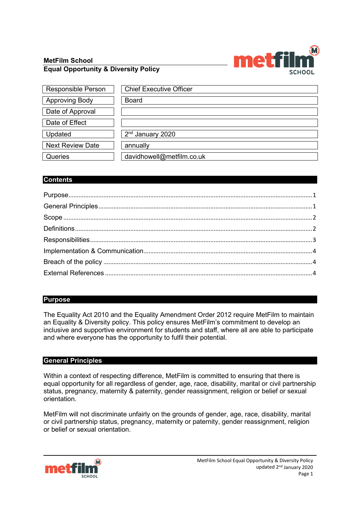# **MetFilm School Equal Opportunity & Diversity Policy**



| <b>Responsible Person</b> | <b>Chief Executive Officer</b> |
|---------------------------|--------------------------------|
| <b>Approving Body</b>     | <b>Board</b>                   |
| Date of Approval          |                                |
| Date of Effect            |                                |
| Updated                   | 2 <sup>nd</sup> January 2020   |
| <b>Next Review Date</b>   | annually                       |
| Queries                   | davidhowell@metfilm.co.uk      |

# **Contents**

# <span id="page-0-0"></span>**Purpose**

The Equality Act 2010 and the Equality Amendment Order 2012 require MetFilm to maintain an Equality & Diversity policy. This policy ensures MetFilm's commitment to develop an inclusive and supportive environment for students and staff, where all are able to participate and where everyone has the opportunity to fulfil their potential.

## <span id="page-0-1"></span>**General Principles**

Within a context of respecting difference, MetFilm is committed to ensuring that there is equal opportunity for all regardless of gender, age, race, disability, marital or civil partnership status, pregnancy, maternity & paternity, gender reassignment, religion or belief or sexual orientation.

MetFilm will not discriminate unfairly on the grounds of gender, age, race, disability, marital or civil partnership status, pregnancy, maternity or paternity, gender reassignment, religion or belief or sexual orientation.

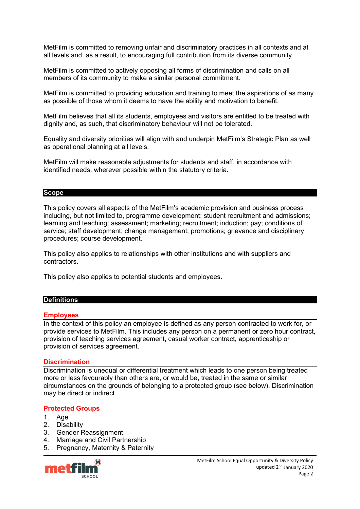MetFilm is committed to removing unfair and discriminatory practices in all contexts and at all levels and, as a result, to encouraging full contribution from its diverse community.

MetFilm is committed to actively opposing all forms of discrimination and calls on all members of its community to make a similar personal commitment.

MetFilm is committed to providing education and training to meet the aspirations of as many as possible of those whom it deems to have the ability and motivation to benefit.

MetFilm believes that all its students, employees and visitors are entitled to be treated with dignity and, as such, that discriminatory behaviour will not be tolerated.

Equality and diversity priorities will align with and underpin MetFilm's Strategic Plan as well as operational planning at all levels.

MetFilm will make reasonable adjustments for students and staff, in accordance with identified needs, wherever possible within the statutory criteria.

### <span id="page-1-0"></span>**Scope**

This policy covers all aspects of the MetFilm's academic provision and business process including, but not limited to, programme development; student recruitment and admissions; learning and teaching; assessment; marketing; recruitment; induction; pay; conditions of service; staff development; change management; promotions; grievance and disciplinary procedures; course development.

This policy also applies to relationships with other institutions and with suppliers and contractors.

This policy also applies to potential students and employees.

# <span id="page-1-1"></span>**Definitions**

### **Employees**

In the context of this policy an employee is defined as any person contracted to work for, or provide services to MetFilm. This includes any person on a permanent or zero hour contract, provision of teaching services agreement, casual worker contract, apprenticeship or provision of services agreement.

#### **Discrimination**

Discrimination is unequal or differential treatment which leads to one person being treated more or less favourably than others are, or would be, treated in the same or similar circumstances on the grounds of belonging to a protected group (see below). Discrimination may be direct or indirect.

#### **Protected Groups**

- 1. Age
- 2. Disability
- 3. Gender Reassignment
- 4. Marriage and Civil Partnership
- 5. Pregnancy, Maternity & Paternity

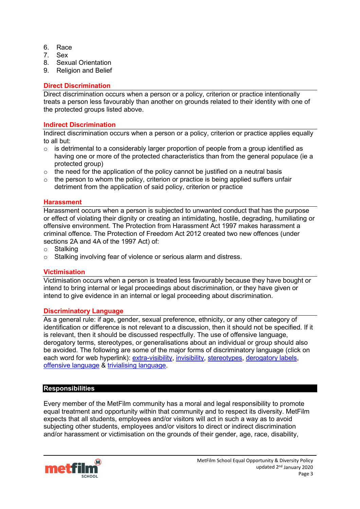- 6. Race
- 7. Sex
- 8. Sexual Orientation
- 9. Religion and Belief

## **Direct Discrimination**

Direct discrimination occurs when a person or a policy, criterion or practice intentionally treats a person less favourably than another on grounds related to their identity with one of the protected groups listed above.

## **Indirect Discrimination**

Indirect discrimination occurs when a person or a policy, criterion or practice applies equally to all but:

- $\circ$  is detrimental to a considerably larger proportion of people from a group identified as having one or more of the protected characteristics than from the general populace (ie a protected group)
- $\circ$  the need for the application of the policy cannot be justified on a neutral basis
- $\circ$  the person to whom the policy, criterion or practice is being applied suffers unfair detriment from the application of said policy, criterion or practice

## **Harassment**

Harassment occurs when a person is subjected to unwanted conduct that has the purpose or effect of violating their dignity or creating an intimidating, hostile, degrading, humiliating or offensive environment. The Protection from Harassment Act 1997 makes harassment a criminal offence. The Protection of Freedom Act 2012 created two new offences (under sections 2A and 4A of the 1997 Act) of:

- o Stalking
- o Stalking involving fear of violence or serious alarm and distress.

## **Victimisation**

Victimisation occurs when a person is treated less favourably because they have bought or intend to bring internal or legal proceedings about discrimination, or they have given or intend to give evidence in an internal or legal proceeding about discrimination.

## **Discriminatory Language**

As a general rule: if age, gender, sexual preference, ethnicity, or any other category of identification or difference is not relevant to a discussion, then it should not be specified. If it is relevant, then it should be discussed respectfully. The use of offensive language, derogatory terms, stereotypes, or generalisations about an individual or group should also be avoided. The following are some of the major forms of discriminatory language (click on each word for web hyperlink): [extra-visibility,](http://www.equity.uts.edu.au/language/inclusive/why.html#extravisibility) [invisibility,](http://www.equity.uts.edu.au/language/inclusive/why.html#invisibility) [stereotypes,](http://www.equity.uts.edu.au/language/inclusive/why.html#stereotypes) [derogatory labels,](http://www.equity.uts.edu.au/language/inclusive/why.html#derogatorylabels) [offensive language](http://www.equity.uts.edu.au/language/inclusive/why.html#offensivelanguage) & [trivialising language.](http://www.equity.uts.edu.au/language/inclusive/why.html#trivialisinglanguage)

## <span id="page-2-0"></span>**Responsibilities**

Every member of the MetFilm community has a moral and legal responsibility to promote equal treatment and opportunity within that community and to respect its diversity. MetFilm expects that all students, employees and/or visitors will act in such a way as to avoid subjecting other students, employees and/or visitors to direct or indirect discrimination and/or harassment or victimisation on the grounds of their gender, age, race, disability,

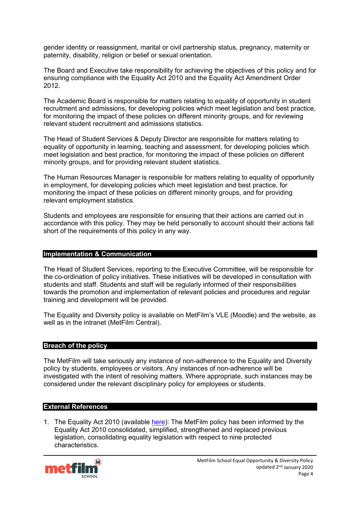gender identity or reassignment, marital or civil partnership status, pregnancy, maternity or paternity, disability, religion or belief or sexual orientation.

The Board and Executive take responsibility for achieving the objectives of this policy and for ensuring compliance with the Equality Act 2010 and the Equality Act Amendment Order 2012.

The Academic Board is responsible for matters relating to equality of opportunity in student recruitment and admissions, for developing policies which meet legislation and best practice, for monitoring the impact of these policies on different minority groups, and for reviewing relevant student recruitment and admissions statistics.

The Head of Student Services & Deputy Director are responsible for matters relating to equality of opportunity in learning, teaching and assessment, for developing policies which meet legislation and best practice, for monitoring the impact of these policies on different minority groups, and for providing relevant student statistics.

The Human Resources Manager is responsible for matters relating to equality of opportunity in employment, for developing policies which meet legislation and best practice, for monitoring the impact of these policies on different minority groups, and for providing relevant employment statistics.

Students and employees are responsible for ensuring that their actions are carried out in accordance with this policy. They may be held personally to account should their actions fall short of the requirements of this policy in any way.

#### <span id="page-3-0"></span>**Implementation & Communication**

The Head of Student Services, reporting to the Executive Committee, will be responsible for the co-ordination of policy initiatives. These initiatives will be developed in consultation with students and staff. Students and staff will be regularly informed of their responsibilities towards the promotion and implementation of relevant policies and procedures and regular training and development will be provided.

The Equality and Diversity policy is available on MetFilm's VLE (Moodle) and the website, as well as in the intranet (MetFilm Central).

#### <span id="page-3-1"></span>**Breach of the policy**

The MetFilm will take seriously any instance of non-adherence to the Equality and Diversity policy by students, employees or visitors. Any instances of non-adherence will be investigated with the intent of resolving matters. Where appropriate, such instances may be considered under the relevant disciplinary policy for employees or students.

#### <span id="page-3-2"></span>**External References**

1. The Equality Act 2010 (available [here\)](https://www.legislation.gov.uk/ukpga/2010/15/contents): The MetFilm policy has been informed by the Equality Act 2010 consolidated, simplified, strengthened and replaced previous legislation, consolidating equality legislation with respect to nine protected characteristics.